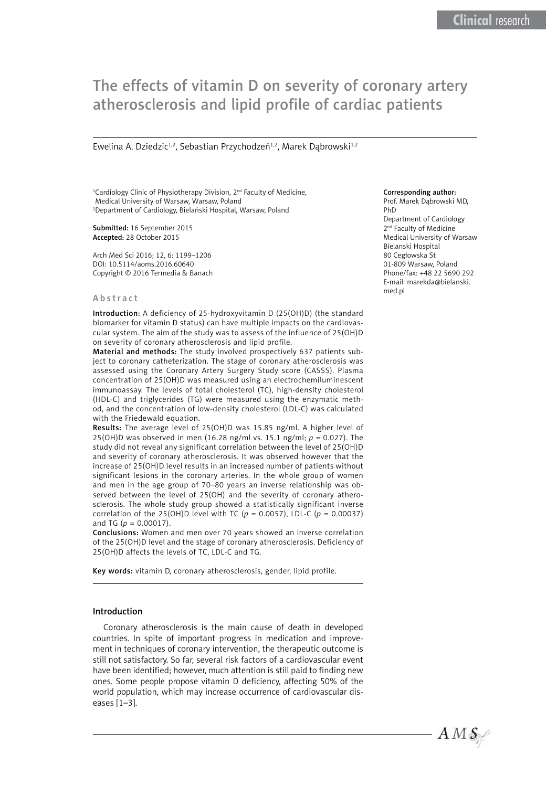# The effects of vitamin D on severity of coronary artery atherosclerosis and lipid profile of cardiac patients

Ewelina A. Dziedzic<sup>1,2</sup>, Sebastian Przychodzeń<sup>1,2</sup>, Marek Dąbrowski<sup>1,2</sup>

<sup>1</sup>Cardiology Clinic of Physiotherapy Division, 2<sup>nd</sup> Faculty of Medicine, Medical University of Warsaw, Warsaw, Poland 2 Department of Cardiology, Bielański Hospital, Warsaw, Poland

Submitted: 16 September 2015 Accepted: 28 October 2015

Arch Med Sci 2016; 12, 6: 1199–1206 DOI: 10.5114/aoms.2016.60640 Copyright © 2016 Termedia & Banach

#### Abstract

Introduction: A deficiency of 25-hydroxyvitamin D (25(OH)D) (the standard biomarker for vitamin D status) can have multiple impacts on the cardiovascular system. The aim of the study was to assess of the influence of 25(OH)D on severity of coronary atherosclerosis and lipid profile.

Material and methods: The study involved prospectively 637 patients subject to coronary catheterization. The stage of coronary atherosclerosis was assessed using the Coronary Artery Surgery Study score (CASSS). Plasma concentration of 25(OH)D was measured using an electrochemiluminescent immunoassay. The levels of total cholesterol (TC), high-density cholesterol (HDL-C) and triglycerides (TG) were measured using the enzymatic method, and the concentration of low-density cholesterol (LDL-C) was calculated with the Friedewald equation.

Results: The average level of 25(OH)D was 15.85 ng/ml. A higher level of 25(OH)D was observed in men (16.28 ng/ml vs. 15.1 ng/ml; *p* = 0.027). The study did not reveal any significant correlation between the level of 25(OH)D and severity of coronary atherosclerosis. It was observed however that the increase of 25(OH)D level results in an increased number of patients without significant lesions in the coronary arteries. In the whole group of women and men in the age group of 70–80 years an inverse relationship was observed between the level of 25(OH) and the severity of coronary atherosclerosis. The whole study group showed a statistically significant inverse correlation of the 25(OH)D level with TC (*p* = 0.0057), LDL-C (*p* = 0.00037) and TG ( $p = 0.00017$ ).

Conclusions: Women and men over 70 years showed an inverse correlation of the 25(OH)D level and the stage of coronary atherosclerosis. Deficiency of 25(OH)D affects the levels of TC, LDL-C and TG.

Key words: vitamin D, coronary atherosclerosis, gender, lipid profile.

### Introduction

Coronary atherosclerosis is the main cause of death in developed countries. In spite of important progress in medication and improvement in techniques of coronary intervention, the therapeutic outcome is still not satisfactory. So far, several risk factors of a cardiovascular event have been identified; however, much attention is still paid to finding new ones. Some people propose vitamin D deficiency, affecting 50% of the world population, which may increase occurrence of cardiovascular diseases [1–3].

#### Corresponding author:

Prof. Marek Dąbrowski MD, PhD Department of Cardiology 2<sup>nd</sup> Faculty of Medicine Medical University of Warsaw Bielanski Hospital 80 Cegłowska St 01-809 Warsaw, Poland Phone/fax: +48 22 5690 292 E-mail: marekda@bielanski. med.pl

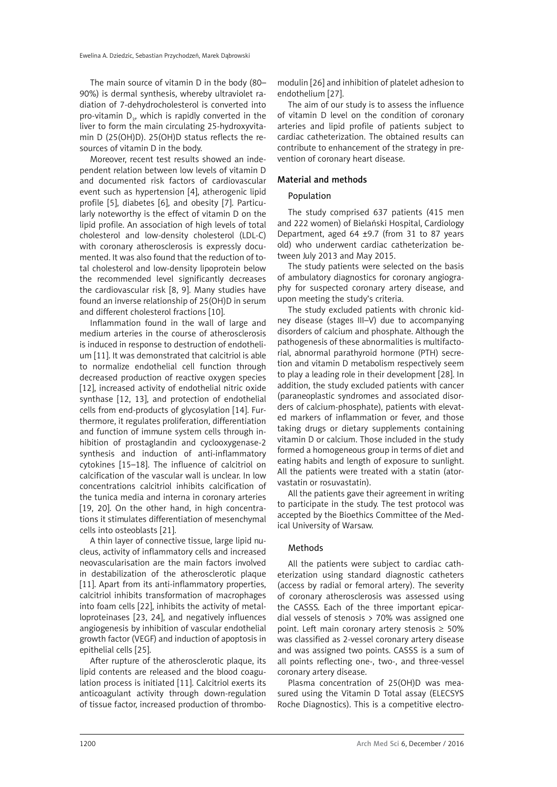The main source of vitamin D in the body (80– 90%) is dermal synthesis, whereby ultraviolet radiation of 7-dehydrocholesterol is converted into pro-vitamin  $D_{3}$ , which is rapidly converted in the liver to form the main circulating 25-hydroxyvitamin D (25(OH)D). 25(OH)D status reflects the resources of vitamin D in the body.

Moreover, recent test results showed an independent relation between low levels of vitamin D and documented risk factors of cardiovascular event such as hypertension [4], atherogenic lipid profile [5], diabetes [6], and obesity [7]. Particularly noteworthy is the effect of vitamin D on the lipid profile. An association of high levels of total cholesterol and low-density cholesterol (LDL-C) with coronary atherosclerosis is expressly documented. It was also found that the reduction of total cholesterol and low-density lipoprotein below the recommended level significantly decreases the cardiovascular risk [8, 9]. Many studies have found an inverse relationship of 25(OH)D in serum and different cholesterol fractions [10].

Inflammation found in the wall of large and medium arteries in the course of atherosclerosis is induced in response to destruction of endothelium [11]. It was demonstrated that calcitriol is able to normalize endothelial cell function through decreased production of reactive oxygen species [12], increased activity of endothelial nitric oxide synthase [12, 13], and protection of endothelial cells from end-products of glycosylation [14]. Furthermore, it regulates proliferation, differentiation and function of immune system cells through inhibition of prostaglandin and cyclooxygenase-2 synthesis and induction of anti-inflammatory cytokines [15–18]. The influence of calcitriol on calcification of the vascular wall is unclear. In low concentrations calcitriol inhibits calcification of the tunica media and interna in coronary arteries [19, 20]. On the other hand, in high concentrations it stimulates differentiation of mesenchymal cells into osteoblasts [21].

A thin layer of connective tissue, large lipid nucleus, activity of inflammatory cells and increased neovascularisation are the main factors involved in destabilization of the atherosclerotic plaque [11]. Apart from its anti-inflammatory properties, calcitriol inhibits transformation of macrophages into foam cells [22], inhibits the activity of metalloproteinases [23, 24], and negatively influences angiogenesis by inhibition of vascular endothelial growth factor (VEGF) and induction of apoptosis in epithelial cells [25].

After rupture of the atherosclerotic plaque, its lipid contents are released and the blood coagulation process is initiated [11]. Calcitriol exerts its anticoagulant activity through down-regulation of tissue factor, increased production of thrombo-

modulin [26] and inhibition of platelet adhesion to endothelium [27].

The aim of our study is to assess the influence of vitamin D level on the condition of coronary arteries and lipid profile of patients subject to cardiac catheterization. The obtained results can contribute to enhancement of the strategy in prevention of coronary heart disease.

# Material and methods

## Population

The study comprised 637 patients (415 men and 222 women) of Bielański Hospital, Cardiology Department, aged 64 ±9.7 (from 31 to 87 years old) who underwent cardiac catheterization between July 2013 and May 2015.

The study patients were selected on the basis of ambulatory diagnostics for coronary angiography for suspected coronary artery disease, and upon meeting the study's criteria.

The study excluded patients with chronic kidney disease (stages III–V) due to accompanying disorders of calcium and phosphate. Although the pathogenesis of these abnormalities is multifactorial, abnormal parathyroid hormone (PTH) secretion and vitamin D metabolism respectively seem to play a leading role in their development [28]. In addition, the study excluded patients with cancer (paraneoplastic syndromes and associated disorders of calcium-phosphate), patients with elevated markers of inflammation or fever, and those taking drugs or dietary supplements containing vitamin D or calcium. Those included in the study formed a homogeneous group in terms of diet and eating habits and length of exposure to sunlight. All the patients were treated with a statin (atorvastatin or rosuvastatin).

All the patients gave their agreement in writing to participate in the study. The test protocol was accepted by the Bioethics Committee of the Medical University of Warsaw.

## Methods

All the patients were subject to cardiac catheterization using standard diagnostic catheters (access by radial or femoral artery). The severity of coronary atherosclerosis was assessed using the CASSS. Each of the three important epicardial vessels of stenosis > 70% was assigned one point. Left main coronary artery stenosis  $\geq 50\%$ was classified as 2-vessel coronary artery disease and was assigned two points. CASSS is a sum of all points reflecting one-, two-, and three-vessel coronary artery disease.

Plasma concentration of 25(OH)D was measured using the Vitamin D Total assay (ELECSYS Roche Diagnostics). This is a competitive electro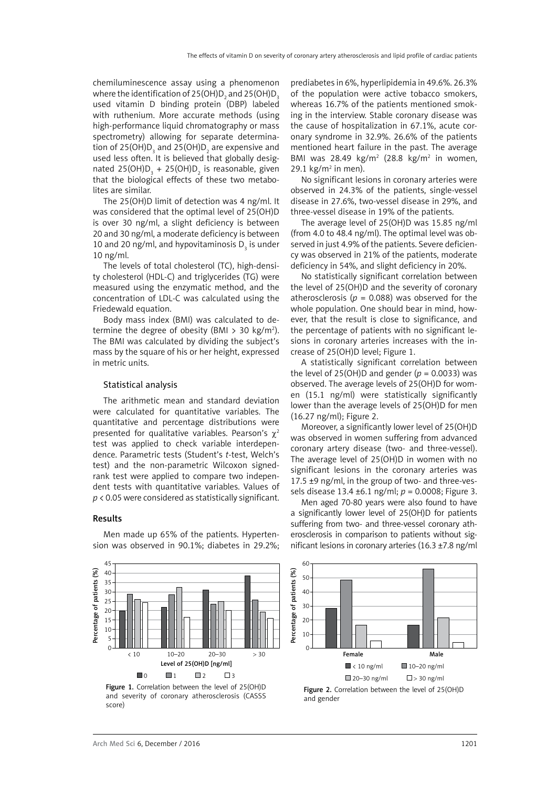chemiluminescence assay using a phenomenon where the identification of 25(OH)D<sub>2</sub> and 25(OH)D<sub>3</sub> used vitamin D binding protein (DBP) labeled with ruthenium. More accurate methods (using high-performance liquid chromatography or mass spectrometry) allowing for separate determination of 25(OH)D $_{_3}$  and 25(OH)D $_{_2}$  are expensive and used less often. It is believed that globally designated 25(OH) $D_3 + 25$ (OH) $D_2$  is reasonable, given that the biological effects of these two metabolites are similar.

The 25(OH)D limit of detection was 4 ng/ml. It was considered that the optimal level of 25(OH)D is over 30 ng/ml, a slight deficiency is between 20 and 30 ng/ml, a moderate deficiency is between 10 and 20 ng/ml, and hypovitaminosis  $D_3$  is under 10 ng/ml.

The levels of total cholesterol (TC), high-density cholesterol (HDL-C) and triglycerides (TG) were measured using the enzymatic method, and the concentration of LDL-C was calculated using the Friedewald equation.

Body mass index (BMI) was calculated to determine the degree of obesity (BMI  $>$  30 kg/m<sup>2</sup>). The BMI was calculated by dividing the subject's mass by the square of his or her height, expressed in metric units.

### Statistical analysis

The arithmetic mean and standard deviation were calculated for quantitative variables. The quantitative and percentage distributions were presented for qualitative variables. Pearson's  $\gamma^2$ test was applied to check variable interdependence. Parametric tests (Student's *t*-test, Welch's test) and the non-parametric Wilcoxon signedrank test were applied to compare two independent tests with quantitative variables. Values of *p* < 0.05 were considered as statistically significant.

#### Results

Percentage of patients (%)

Percentage of patients (%)

Men made up 65% of the patients. Hypertension was observed in 90.1%; diabetes in 29.2%;

prediabetes in 6%, hyperlipidemia in 49.6%. 26.3% of the population were active tobacco smokers, whereas 16.7% of the patients mentioned smoking in the interview. Stable coronary disease was the cause of hospitalization in 67.1%, acute coronary syndrome in 32.9%. 26.6% of the patients mentioned heart failure in the past. The average BMI was 28.49  $kg/m^2$  (28.8  $kg/m^2$  in women, 29.1  $\text{kg/m}^2$  in men).

No significant lesions in coronary arteries were observed in 24.3% of the patients, single-vessel disease in 27.6%, two-vessel disease in 29%, and three-vessel disease in 19% of the patients.

The average level of 25(OH)D was 15.85 ng/ml (from 4.0 to 48.4 ng/ml). The optimal level was observed in just 4.9% of the patients. Severe deficiency was observed in 21% of the patients, moderate deficiency in 54%, and slight deficiency in 20%.

No statistically significant correlation between the level of 25(OH)D and the severity of coronary atherosclerosis ( $p = 0.088$ ) was observed for the whole population. One should bear in mind, however, that the result is close to significance, and the percentage of patients with no significant lesions in coronary arteries increases with the increase of 25(OH)D level; Figure 1.

A statistically significant correlation between the level of 25(OH)D and gender  $(p = 0.0033)$  was observed. The average levels of 25(OH)D for women (15.1 ng/ml) were statistically significantly lower than the average levels of 25(OH)D for men (16.27 ng/ml); Figure 2.

Moreover, a significantly lower level of 25(OH)D was observed in women suffering from advanced coronary artery disease (two- and three-vessel). The average level of 25(OH)D in women with no significant lesions in the coronary arteries was 17.5 ±9 ng/ml, in the group of two- and three-vessels disease 13.4 ±6.1 ng/ml; *p* = 0.0008; Figure 3.

Men aged 70-80 years were also found to have a significantly lower level of 25(OH)D for patients suffering from two- and three-vessel coronary atherosclerosis in comparison to patients without significant lesions in coronary arteries (16.3 ±7.8 ng/ml



Figure 1. Correlation between the level of 25(OH)D and severity of coronary atherosclerosis (CASSS score)

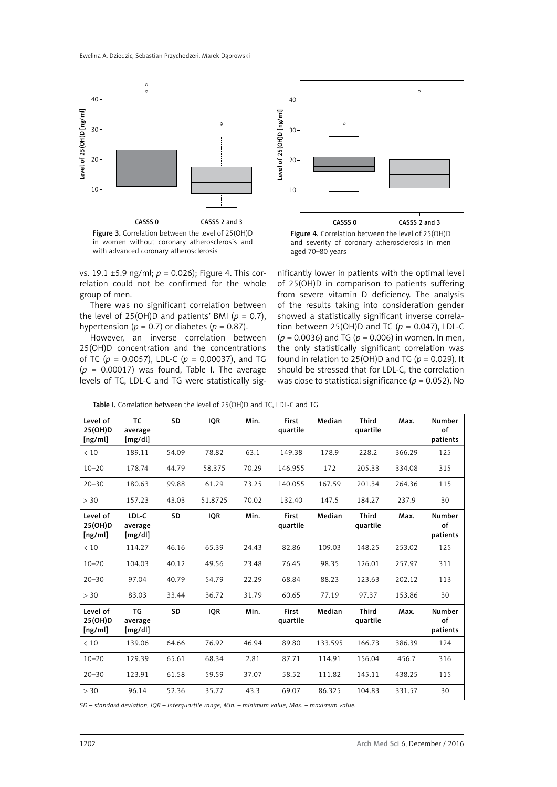

Figure 3. Correlation between the level of 25(OH)D in women without coronary atherosclerosis and with advanced coronary atherosclerosis

vs. 19.1 ±5.9 ng/ml; *p* = 0.026); Figure 4. This correlation could not be confirmed for the whole group of men.

There was no significant correlation between the level of 25(OH)D and patients' BMI  $(p = 0.7)$ , hypertension ( $p = 0.7$ ) or diabetes ( $p = 0.87$ ).

However, an inverse correlation between 25(OH)D concentration and the concentrations of TC ( $p = 0.0057$ ), LDL-C ( $p = 0.00037$ ), and TG  $(p = 0.00017)$  was found, Table I. The average levels of TC, LDL-C and TG were statistically sig-



Figure 4. Correlation between the level of 25(OH)D and severity of coronary atherosclerosis in men aged 70–80 years

nificantly lower in patients with the optimal level of 25(OH)D in comparison to patients suffering from severe vitamin D deficiency. The analysis of the results taking into consideration gender showed a statistically significant inverse correlation between 25(OH)D and TC ( $p = 0.047$ ), LDL-C (*p* = 0.0036) and TG (*p* = 0.006) in women. In men, the only statistically significant correlation was found in relation to 25(OH)D and TG ( $p = 0.029$ ). It should be stressed that for LDL-C, the correlation was close to statistical significance (*p* = 0.052). No

| Table I. Correlation between the level of 25(OH)D and TC, LDL-C and TG |  |
|------------------------------------------------------------------------|--|
|                                                                        |  |

| Level of<br>25(OH)D<br>[ng/ml] | <b>TC</b><br>average<br>[mg/dl] | SD        | <b>IQR</b> | Min.  | First<br>quartile | Median  | <b>Third</b><br>quartile | Max.   | <b>Number</b><br>of<br>patients |
|--------------------------------|---------------------------------|-----------|------------|-------|-------------------|---------|--------------------------|--------|---------------------------------|
| < 10                           | 189.11                          | 54.09     | 78.82      | 63.1  | 149.38            | 178.9   | 228.2                    | 366.29 | 125                             |
| $10 - 20$                      | 178.74                          | 44.79     | 58.375     | 70.29 | 146.955           | 172     | 205.33                   | 334.08 | 315                             |
| $20 - 30$                      | 180.63                          | 99.88     | 61.29      | 73.25 | 140.055           | 167.59  | 201.34                   | 264.36 | 115                             |
| > 30                           | 157.23                          | 43.03     | 51.8725    | 70.02 | 132.40            | 147.5   | 184.27                   | 237.9  | 30                              |
| Level of<br>25(OH)D<br>[ng/ml] | LDL-C<br>average<br>[mg/dl]     | SD        | <b>IQR</b> | Min.  | First<br>quartile | Median  | <b>Third</b><br>quartile | Max.   | <b>Number</b><br>of<br>patients |
| < 10                           | 114.27                          | 46.16     | 65.39      | 24.43 | 82.86             | 109.03  | 148.25                   | 253.02 | 125                             |
| $10 - 20$                      | 104.03                          | 40.12     | 49.56      | 23.48 | 76.45             | 98.35   | 126.01                   | 257.97 | 311                             |
| $20 - 30$                      | 97.04                           | 40.79     | 54.79      | 22.29 | 68.84             | 88.23   | 123.63                   | 202.12 | 113                             |
| > 30                           | 83.03                           | 33.44     | 36.72      | 31.79 | 60.65             | 77.19   | 97.37                    | 153.86 | 30                              |
| Level of<br>25(OH)D<br>[ng/ml] | TG<br>average<br>[mg/dl]        | <b>SD</b> | <b>IQR</b> | Min.  | First<br>quartile | Median  | <b>Third</b><br>quartile | Max.   | <b>Number</b><br>of<br>patients |
| < 10                           | 139.06                          | 64.66     | 76.92      | 46.94 | 89.80             | 133.595 | 166.73                   | 386.39 | 124                             |
| $10 - 20$                      | 129.39                          | 65.61     | 68.34      | 2.81  | 87.71             | 114.91  | 156.04                   | 456.7  | 316                             |
| $20 - 30$                      | 123.91                          | 61.58     | 59.59      | 37.07 | 58.52             | 111.82  | 145.11                   | 438.25 | 115                             |
| > 30                           | 96.14                           | 52.36     | 35.77      | 43.3  | 69.07             | 86.325  | 104.83                   | 331.57 | 30                              |

*SD – standard deviation, IQR – interquartile range, Min. – minimum value, Max. – maximum value.*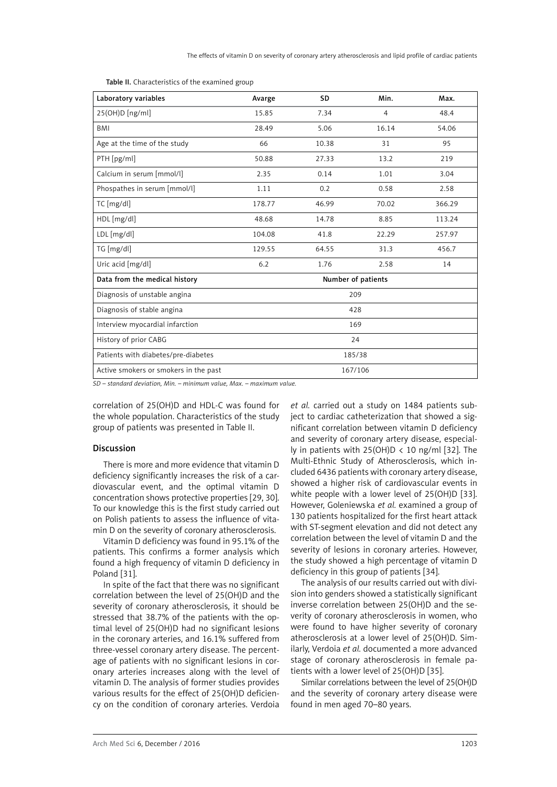| Laboratory variables                  | Avarge             | SD     | Min.           | Max.   |  |  |  |  |
|---------------------------------------|--------------------|--------|----------------|--------|--|--|--|--|
| 25(OH)D[ng/ml]                        | 15.85              | 7.34   | $\overline{4}$ | 48.4   |  |  |  |  |
| <b>BMI</b>                            | 28.49              | 5.06   | 16.14          | 54.06  |  |  |  |  |
| Age at the time of the study          | 66                 | 10.38  |                | 95     |  |  |  |  |
| PTH [pg/ml]                           | 50.88              | 27.33  |                | 219    |  |  |  |  |
| Calcium in serum [mmol/l]             | 2.35               | 0.14   |                | 3.04   |  |  |  |  |
| Phospathes in serum [mmol/l]          | 1.11               | 0.2    | 0.58           | 2.58   |  |  |  |  |
| TC [mg/dl]                            | 178.77             | 46.99  | 70.02          | 366.29 |  |  |  |  |
| HDL [mg/dl]                           | 48.68              | 14.78  | 8.85           | 113.24 |  |  |  |  |
| LDL [mg/dl]                           | 104.08             | 41.8   | 22.29          | 257.97 |  |  |  |  |
| TG [mg/dl]                            | 129.55             | 64.55  | 31.3           | 456.7  |  |  |  |  |
| Uric acid [mg/dl]                     | 6.2                | 1.76   | 2.58           | 14     |  |  |  |  |
| Data from the medical history         | Number of patients |        |                |        |  |  |  |  |
| Diagnosis of unstable angina          |                    | 209    |                |        |  |  |  |  |
| Diagnosis of stable angina            |                    | 428    |                |        |  |  |  |  |
| Interview myocardial infarction       | 169                |        |                |        |  |  |  |  |
| History of prior CABG                 | 24                 |        |                |        |  |  |  |  |
| Patients with diabetes/pre-diabetes   |                    | 185/38 |                |        |  |  |  |  |
| Active smokers or smokers in the past | 167/106            |        |                |        |  |  |  |  |

Table II. Characteristics of the examined group

*SD – standard deviation, Min. – minimum value, Max. – maximum value.*

correlation of 25(OH)D and HDL-C was found for the whole population. Characteristics of the study group of patients was presented in Table II.

## Discussion

There is more and more evidence that vitamin D deficiency significantly increases the risk of a cardiovascular event, and the optimal vitamin D concentration shows protective properties [29, 30]. To our knowledge this is the first study carried out on Polish patients to assess the influence of vitamin D on the severity of coronary atherosclerosis.

Vitamin D deficiency was found in 95.1% of the patients. This confirms a former analysis which found a high frequency of vitamin D deficiency in Poland [31].

In spite of the fact that there was no significant correlation between the level of 25(OH)D and the severity of coronary atherosclerosis, it should be stressed that 38.7% of the patients with the optimal level of 25(OH)D had no significant lesions in the coronary arteries, and 16.1% suffered from three-vessel coronary artery disease. The percentage of patients with no significant lesions in coronary arteries increases along with the level of vitamin D. The analysis of former studies provides various results for the effect of 25(OH)D deficiency on the condition of coronary arteries. Verdoia *et al.* carried out a study on 1484 patients subject to cardiac catheterization that showed a significant correlation between vitamin D deficiency and severity of coronary artery disease, especially in patients with  $25(OH)D < 10$  ng/ml [32]. The Multi-Ethnic Study of Atherosclerosis, which included 6436 patients with coronary artery disease, showed a higher risk of cardiovascular events in white people with a lower level of 25(OH)D [33]. However, Goleniewska *et al.* examined a group of 130 patients hospitalized for the first heart attack with ST-segment elevation and did not detect any correlation between the level of vitamin D and the severity of lesions in coronary arteries. However, the study showed a high percentage of vitamin D deficiency in this group of patients [34].

The analysis of our results carried out with division into genders showed a statistically significant inverse correlation between 25(OH)D and the severity of coronary atherosclerosis in women, who were found to have higher severity of coronary atherosclerosis at a lower level of 25(OH)D. Similarly, Verdoia *et al.* documented a more advanced stage of coronary atherosclerosis in female patients with a lower level of 25(OH)D [35].

Similar correlations between the level of 25(OH)D and the severity of coronary artery disease were found in men aged 70–80 years.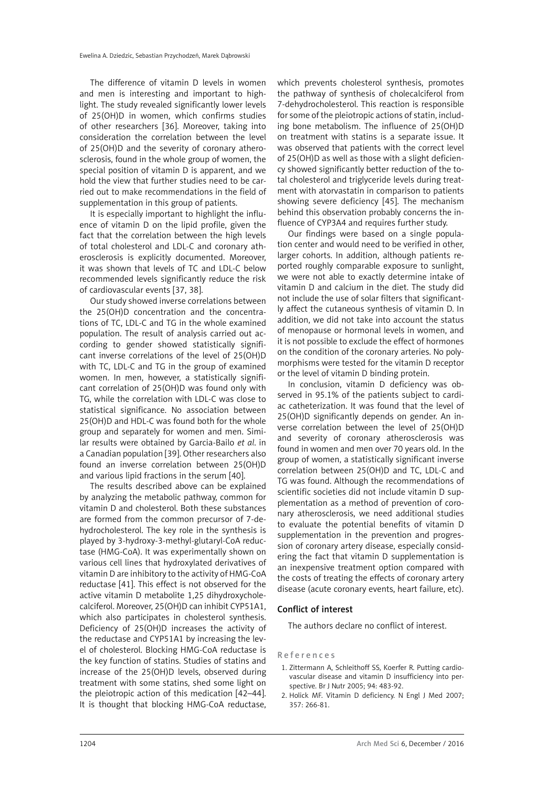The difference of vitamin D levels in women and men is interesting and important to highlight. The study revealed significantly lower levels of 25(OH)D in women, which confirms studies of other researchers [36]. Moreover, taking into consideration the correlation between the level of 25(OH)D and the severity of coronary atherosclerosis, found in the whole group of women, the special position of vitamin D is apparent, and we hold the view that further studies need to be carried out to make recommendations in the field of supplementation in this group of patients.

It is especially important to highlight the influence of vitamin D on the lipid profile, given the fact that the correlation between the high levels of total cholesterol and LDL-C and coronary atherosclerosis is explicitly documented. Moreover, it was shown that levels of TC and LDL-C below recommended levels significantly reduce the risk of cardiovascular events [37, 38].

Our study showed inverse correlations between the 25(OH)D concentration and the concentrations of TC, LDL-C and TG in the whole examined population. The result of analysis carried out according to gender showed statistically significant inverse correlations of the level of 25(OH)D with TC, LDL-C and TG in the group of examined women. In men, however, a statistically significant correlation of 25(OH)D was found only with TG, while the correlation with LDL-C was close to statistical significance. No association between 25(OH)D and HDL-C was found both for the whole group and separately for women and men. Similar results were obtained by Garcia-Bailo *et al*. in a Canadian population [39]. Other researchers also found an inverse correlation between 25(OH)D and various lipid fractions in the serum [40].

The results described above can be explained by analyzing the metabolic pathway, common for vitamin D and cholesterol. Both these substances are formed from the common precursor of 7*-*dehydrocholesterol. The key role in the synthesis is played by 3-hydroxy-3-methyl-glutaryl-CoA reductase (HMG-CoA). It was experimentally shown on various cell lines that hydroxylated derivatives of vitamin D are inhibitory to the activity of HMG-CoA reductase [41]. This effect is not observed for the active vitamin D metabolite 1,25 dihydroxycholecalciferol. Moreover, 25(OH)D can inhibit CYP51A1, which also participates in cholesterol synthesis. Deficiency of 25(OH)D increases the activity of the reductase and CYP51A1 by increasing the level of cholesterol. Blocking HMG-CoA reductase is the key function of statins. Studies of statins and increase of the 25(OH)D levels, observed during treatment with some statins, shed some light on the pleiotropic action of this medication [42–44]. It is thought that blocking HMG-CoA reductase, which prevents cholesterol synthesis, promotes the pathway of synthesis of cholecalciferol from 7*-*dehydrocholesterol. This reaction is responsible for some of the pleiotropic actions of statin, including bone metabolism. The influence of 25(OH)D on treatment with statins is a separate issue. It was observed that patients with the correct level of 25(OH)D as well as those with a slight deficiency showed significantly better reduction of the total cholesterol and triglyceride levels during treatment with atorvastatin in comparison to patients showing severe deficiency [45]. The mechanism behind this observation probably concerns the influence of CYP3A4 and requires further study.

Our findings were based on a single population center and would need to be verified in other, larger cohorts. In addition, although patients reported roughly comparable exposure to sunlight, we were not able to exactly determine intake of vitamin D and calcium in the diet. The study did not include the use of solar filters that significantly affect the cutaneous synthesis of vitamin D. In addition, we did not take into account the status of menopause or hormonal levels in women, and it is not possible to exclude the effect of hormones on the condition of the coronary arteries. No polymorphisms were tested for the vitamin D receptor or the level of vitamin D binding protein.

In conclusion, vitamin D deficiency was observed in 95.1% of the patients subject to cardiac catheterization. It was found that the level of 25(OH)D significantly depends on gender. An inverse correlation between the level of 25(OH)D and severity of coronary atherosclerosis was found in women and men over 70 years old. In the group of women, a statistically significant inverse correlation between 25(OH)D and TC, LDL-C and TG was found. Although the recommendations of scientific societies did not include vitamin D supplementation as a method of prevention of coronary atherosclerosis, we need additional studies to evaluate the potential benefits of vitamin D supplementation in the prevention and progression of coronary artery disease, especially considering the fact that vitamin D supplementation is an inexpensive treatment option compared with the costs of treating the effects of coronary artery disease (acute coronary events, heart failure, etc).

## Conflict of interest

The authors declare no conflict of interest.

#### References

- 1. Zittermann A, Schleithoff SS, Koerfer R. Putting cardiovascular disease and vitamin D insufficiency into perspective. Br J Nutr 2005; 94: 483-92.
- 2. Holick MF. Vitamin D deficiency. N Engl J Med 2007; 357: 266-81.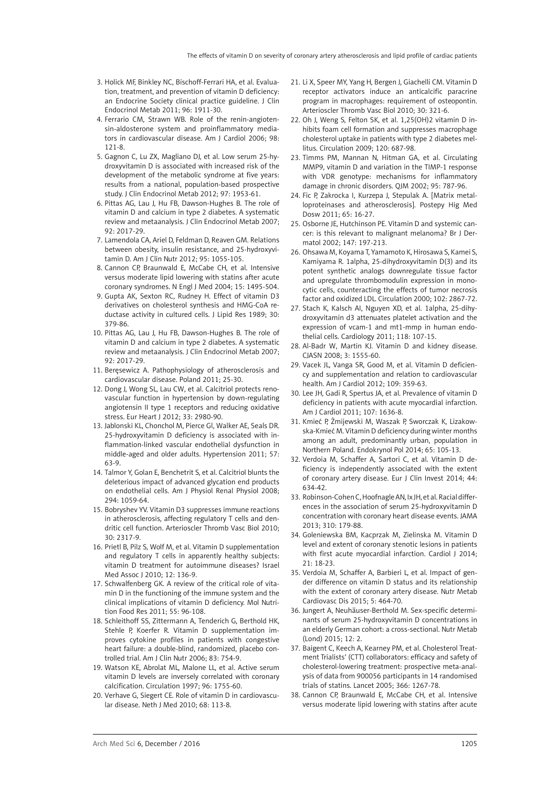- 3. Holick MF, Binkley NC, Bischoff-Ferrari HA, et al. Evaluation, treatment, and prevention of vitamin D deficiency: an Endocrine Society clinical practice guideline. J Clin Endocrinol Metab 2011; 96: 1911-30.
- 4. Ferrario CM, Strawn WB. Role of the renin-angiotensin-aldosterone system and proinflammatory mediators in cardiovascular disease. Am J Cardiol 2006; 98: 121-8.
- 5. Gagnon C, Lu ZX, Magliano DJ, et al. Low serum 25-hydroxyvitamin D is associated with increased risk of the development of the metabolic syndrome at five years: results from a national, population-based prospective study. J Clin Endocrinol Metab 2012; 97: 1953-61.
- 6. Pittas AG, Lau J, Hu FB, Dawson-Hughes B. The role of vitamin D and calcium in type 2 diabetes. A systematic review and metaanalysis. J Clin Endocrinol Metab 2007; 92: 2017-29.
- 7. Lamendola CA, Ariel D, Feldman D, Reaven GM. Relations between obesity, insulin resistance, and 25-hydroxyvitamin D. Am J Clin Nutr 2012; 95: 1055-105.
- 8. Cannon CP, Braunwald E, McCabe CH, et al. Intensive versus moderate lipid lowering with statins after acute coronary syndromes. N Engl J Med 2004; 15: 1495-504.
- 9. Gupta AK, Sexton RC, Rudney H. Effect of vitamin D3 derivatives on cholesterol synthesis and HMG-CoA reductase activity in cultured cells. J Lipid Res 1989; 30: 379-86.
- 10. Pittas AG, Lau J, Hu FB, Dawson-Hughes B. The role of vitamin D and calcium in type 2 diabetes. A systematic review and metaanalysis. J Clin Endocrinol Metab 2007; 92: 2017-29.
- 11. Beręsewicz A. Pathophysiology of atherosclerosis and cardiovascular disease. Poland 2011; 25-30.
- 12. Dong J, Wong SL, Lau CW, et al. Calcitriol protects renovascular function in hypertension by down-regulating angiotensin II type 1 receptors and reducing oxidative stress. Eur Heart J 2012; 33: 2980-90.
- 13. Jablonski KL, Chonchol M, Pierce Gl, Walker AE, Seals DR. 25-hydroxyvitamin D deficiency is associated with inflammation-linked vascular endothelial dysfunction in middle-aged and older adults. Hypertension 2011; 57: 63-9.
- 14. Talmor Y, Golan E, Benchetrit S, et al. Calcitriol blunts the deleterious impact of advanced glycation end products on endothelial cells. Am J Physiol Renal Physiol 2008; 294: 1059-64.
- 15. Bobryshev YV. Vitamin D3 suppresses immune reactions in atherosclerosis, affecting regulatory T cells and dendritic cell function. Arterioscler Thromb Vasc Biol 2010; 30: 2317-9.
- 16. Prietl B, Pilz S, Wolf M, et al. Vitamin D supplementation and regulatory T cells in apparently healthy subjects: vitamin D treatment for autoimmune diseases? Israel Med Assoc J 2010; 12: 136-9.
- 17. Schwalfenberg GK. A review of the critical role of vitamin D in the functioning of the immune system and the clinical implications of vitamin D deficiency. Mol Nutrition Food Res 2011; 55: 96-108.
- 18. Schleithoff SS, Zittermann A, Tenderich G, Berthold HK, Stehle P, Koerfer R. Vitamin D supplementation improves cytokine profiles in patients with congestive heart failure: a double-blind, randomized, placebo controlled trial. Am J Clin Nutr 2006; 83: 754-9.
- 19. Watson KE, Abrolat ML, Malone LL, et al. Active serum vitamin D levels are inversely correlated with coronary calcification. Circulation 1997; 96: 1755-60.
- 20. Verhave G, Siegert CE. Role of vitamin D in cardiovascular disease. Neth J Med 2010; 68: 113-8.
- 21. Li X, Speer MY, Yang H, Bergen J, Giachelli CM. Vitamin D receptor activators induce an anticalcific paracrine program in macrophages: requirement of osteopontin. Arterioscler Thromb Vasc Biol 2010; 30: 321-6.
- 22. Oh J, Weng S, Felton SK, et al. 1,25(OH)2 vitamin D inhibits foam cell formation and suppresses macrophage cholesterol uptake in patients with type 2 diabetes mellitus. Circulation 2009; 120: 687-98.
- 23. Timms PM, Mannan N, Hitman GA, et al. Circulating MMP9, vitamin D and variation in the TIMP-1 response with VDR genotype: mechanisms for inflammatory damage in chronic disorders. QJM 2002; 95: 787-96.
- 24. Fic P, Zakrocka I, Kurzepa J, Stepulak A. [Matrix metalloproteinases and atherosclerosis]. Postepy Hig Med Dosw 2011; 65: 16-27.
- 25. Osborne JE, Hutchinson PE. Vitamin D and systemic cancer: is this relevant to malignant melanoma? Br J Dermatol 2002; 147: 197-213.
- 26. Ohsawa M, Koyama T, Yamamoto K, Hirosawa S, Kamei S, Kamiyama R. 1alpha, 25-dihydroxyvitamin D(3) and its potent synthetic analogs downregulate tissue factor and upregulate thrombomodulin expression in monocytic cells, counteracting the effects of tumor necrosis factor and oxidized LDL. Circulation 2000; 102: 2867-72.
- 27. Stach K, Kalsch AI, Nguyen XD, et al. 1alpha, 25-dihydroxyvitamin d3 attenuates platelet activation and the expression of vcam-1 and mt1-mmp in human endothelial cells. Cardiology 2011; 118: 107-15.
- 28. Al-Badr W, Martin KJ. Vitamin D and kidney disease. CJASN 2008; 3: 1555-60.
- 29. Vacek JL, Vanga SR, Good M, et al. Vitamin D deficiency and supplementation and relation to cardiovascular health. Am J Cardiol 2012; 109: 359-63.
- 30. Lee JH, Gadi R, Spertus JA, et al. Prevalence of vitamin D deficiency in patients with acute myocardial infarction. Am J Cardiol 2011; 107: 1636-8.
- 31. Kmieć P, Żmijewski M, Waszak P, Sworczak K, Lizakowska-Kmieć M. Vitamin D deficiency during winter months among an adult, predominantly urban, population in Northern Poland. Endokrynol Pol 2014; 65: 105-13.
- 32. Verdoia M, Schaffer A, Sartori C, et al. Vitamin D deficiency is independently associated with the extent of coronary artery disease. Eur J Clin Invest 2014; 44: 634-42.
- 33. Robinson-Cohen C, Hoofnagle AN, Ix JH, et al. Racial differences in the association of serum 25-hydroxyvitamin D concentration with coronary heart disease events. JAMA 2013; 310: 179-88.
- 34. Goleniewska BM, Kacprzak M, Zielinska M. Vitamin D level and extent of coronary stenotic lesions in patients with first acute myocardial infarction. Cardiol J 2014; 21: 18-23.
- 35. Verdoia M, Schaffer A, Barbieri L, et al. Impact of gender difference on vitamin D status and its relationship with the extent of coronary artery disease. Nutr Metab Cardiovasc Dis 2015; 5: 464-70.
- 36. Jungert A, Neuhäuser-Berthold M. Sex-specific determinants of serum 25-hydroxyvitamin D concentrations in an elderly German cohort: a cross-sectional. Nutr Metab (Lond) 2015; 12: 2.
- 37. Baigent C, Keech A, Kearney PM, et al. Cholesterol Treatment Trialists' (CTT) collaborators: efficacy and safety of cholesterol-lowering treatment: prospective meta-analysis of data from 900056 participants in 14 randomised trials of statins. Lancet 2005; 366: 1267-78.
- 38. Cannon CP, Braunwald E, McCabe CH, et al. Intensive versus moderate lipid lowering with statins after acute